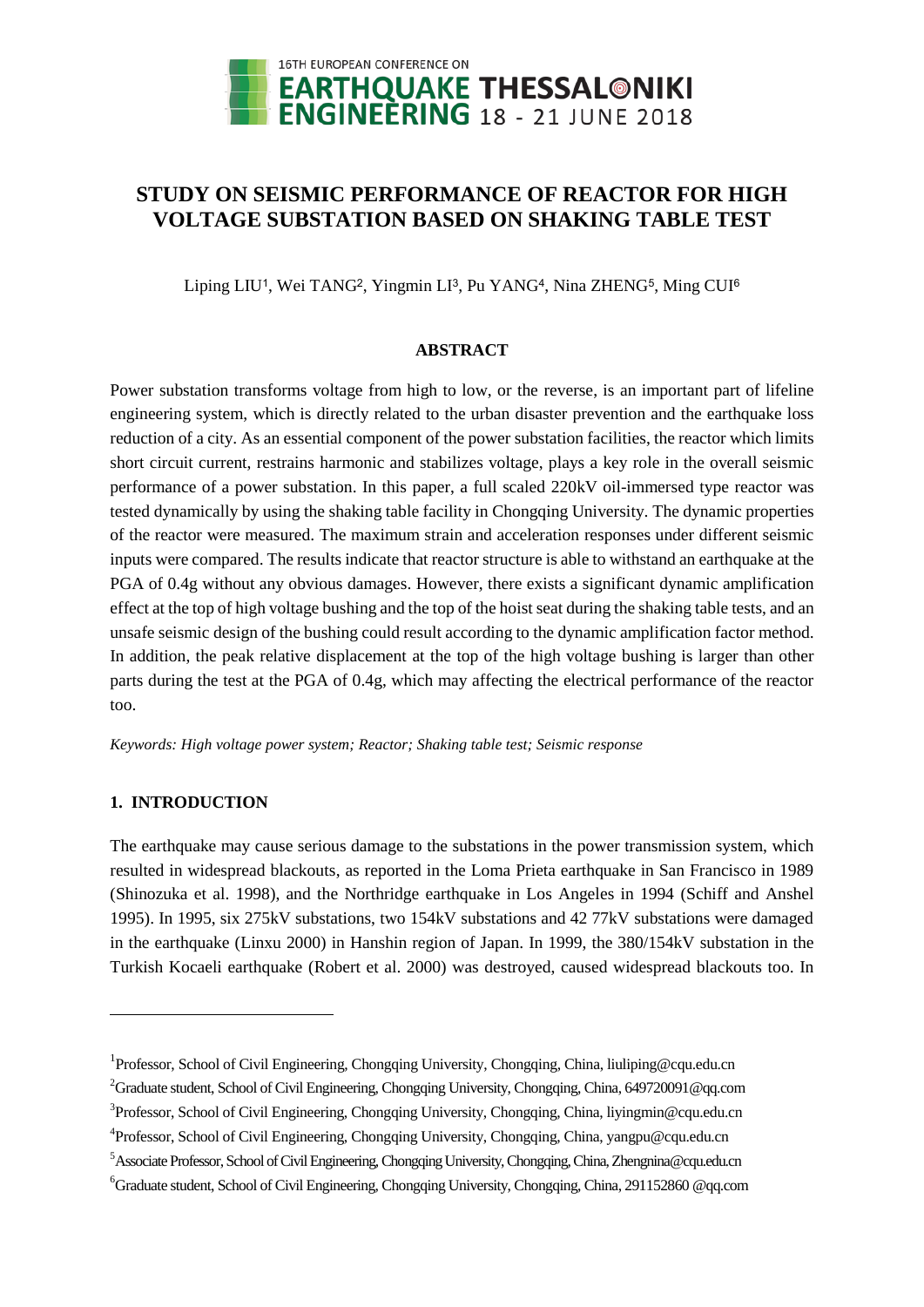

# **STUDY ON SEISMIC PERFORMANCE OF REACTOR FOR HIGH VOLTAGE SUBSTATION BASED ON SHAKING TABLE TEST**

Liping LIU<sup>1</sup>, Wei TANG<sup>2</sup>, Yingmin LI<sup>3</sup>, Pu YANG<sup>4</sup>, Nina ZHENG<sup>5</sup>, Ming CUI<sup>6</sup>

## **ABSTRACT**

Power substation transforms voltage from high to low, or the reverse, is an important part of lifeline engineering system, which is directly related to the urban disaster prevention and the earthquake loss reduction of a city. As an essential component of the power substation facilities, the reactor which limits short circuit current, restrains harmonic and stabilizes voltage, plays a key role in the overall seismic performance of a power substation. In this paper, a full scaled 220kV oil-immersed type reactor was tested dynamically by using the shaking table facility in Chongqing University. The dynamic properties of the reactor were measured. The maximum strain and acceleration responses under different seismic inputs were compared. The results indicate that reactor structure is able to withstand an earthquake at the PGA of 0.4g without any obvious damages. However, there exists a significant dynamic amplification effect at the top of high voltage bushing and the top of the hoist seat during the shaking table tests, and an unsafe seismic design of the bushing could result according to the dynamic amplification factor method. In addition, the peak relative displacement at the top of the high voltage bushing is larger than other parts during the test at the PGA of 0.4g, which may affecting the electrical performance of the reactor too.

*Keywords: High voltage power system; Reactor; Shaking table test; Seismic response*

## **1. INTRODUCTION**

 $\overline{a}$ 

The earthquake may cause serious damage to the substations in the power transmission system, which resulted in widespread blackouts, as reported in the Loma Prieta earthquake in San Francisco in 1989 (Shinozuka et al. 1998), and the Northridge earthquake in Los Angeles in 1994 (Schiff and Anshel 1995). In 1995, six 275kV substations, two 154kV substations and 42 77kV substations were damaged in the earthquake (Linxu 2000) in Hanshin region of Japan. In 1999, the 380/154kV substation in the Turkish Kocaeli earthquake (Robert et al. 2000) was destroyed, caused widespread blackouts too. In

<sup>&</sup>lt;sup>1</sup>Professor, School of Civil Engineering, Chongqing University, Chongqing, China, liuliping@cqu.edu.cn

<sup>2</sup>Graduate student, School of Civil Engineering, Chongqing University, Chongqing, China, 649720091@qq.com

<sup>&</sup>lt;sup>3</sup> Professor, School of Civil Engineering, Chongqing University, Chongqing, China, liyingmin@cqu.edu.cn

<sup>&</sup>lt;sup>4</sup> Professor, School of Civil Engineering, Chongqing University, Chongqing, China, yangpu@cqu.edu.cn

<sup>5</sup>Associate Professor, School of Civil Engineering, Chongqing University,Chongqing, China, Zhengnina@cqu.edu.cn

<sup>6</sup>Graduate student, School of Civil Engineering, Chongqing University, Chongqing, China, 291152860 @qq.com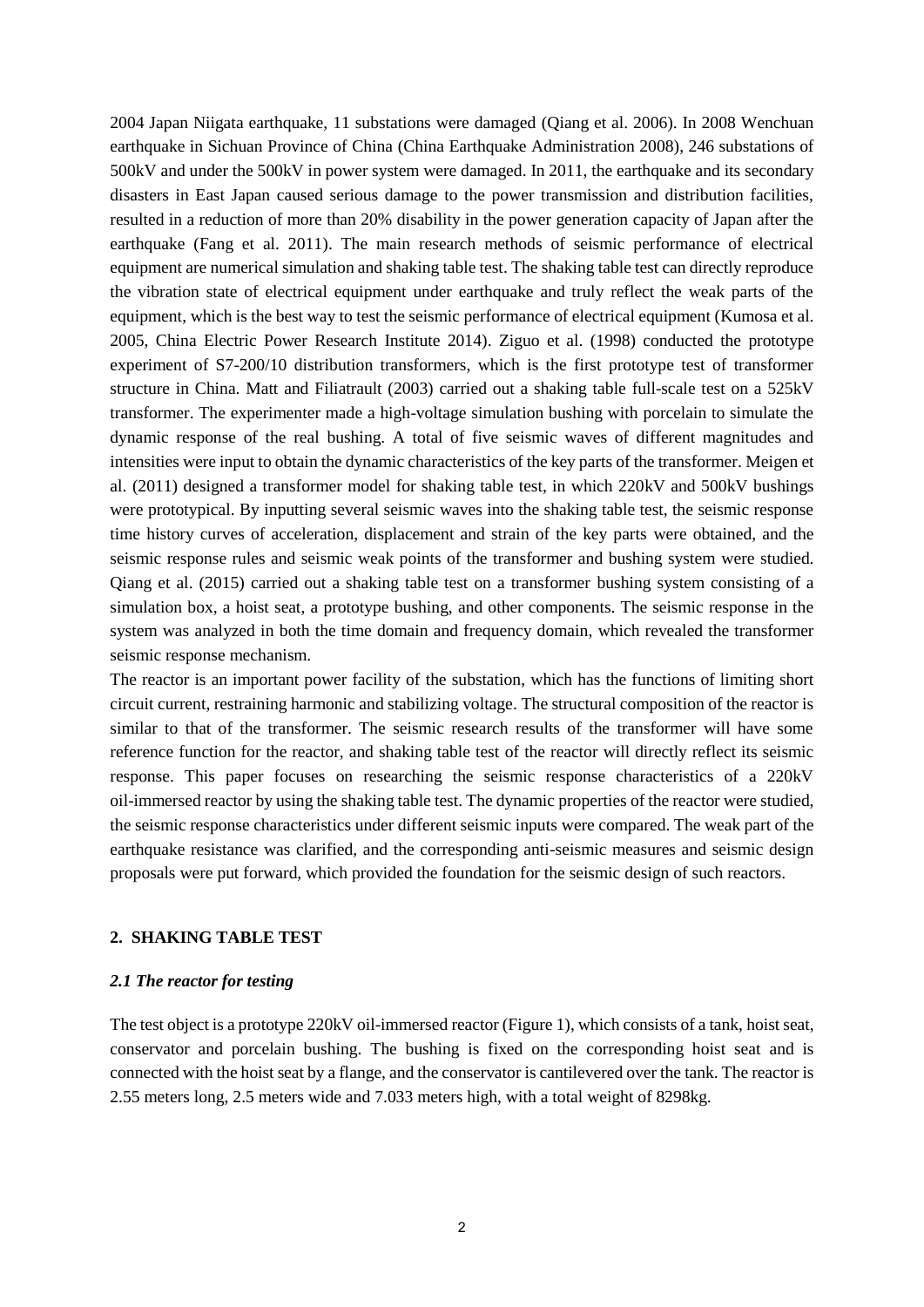2004 Japan Niigata earthquake, 11 substations were damaged (Qiang et al. 2006). In 2008 Wenchuan earthquake in Sichuan Province of China (China Earthquake Administration 2008), 246 substations of 500kV and under the 500kV in power system were damaged. In 2011, the earthquake and its secondary disasters in East Japan caused serious damage to the power transmission and distribution facilities, resulted in a reduction of more than 20% disability in the power generation capacity of Japan after the earthquake (Fang et al. 2011). The main research methods of seismic performance of electrical equipment are numerical simulation and shaking table test. The shaking table test can directly reproduce the vibration state of electrical equipment under earthquake and truly reflect the weak parts of the equipment, which is the best way to test the seismic performance of electrical equipment (Kumosa et al. 2005, China Electric Power Research Institute 2014). Ziguo et al. (1998) conducted the prototype experiment of S7-200/10 distribution transformers, which is the first prototype test of transformer structure in China. Matt and Filiatrault (2003) carried out a shaking table full-scale test on a 525kV transformer. The experimenter made a high-voltage simulation bushing with porcelain to simulate the dynamic response of the real bushing. A total of five seismic waves of different magnitudes and intensities were input to obtain the dynamic characteristics of the key parts of the transformer. Meigen et al. (2011) designed a transformer model for shaking table test, in which 220kV and 500kV bushings were prototypical. By inputting several seismic waves into the shaking table test, the seismic response time history curves of acceleration, displacement and strain of the key parts were obtained, and the seismic response rules and seismic weak points of the transformer and bushing system were studied. Qiang et al. (2015) carried out a shaking table test on a transformer bushing system consisting of a simulation box, a hoist seat, a prototype bushing, and other components. The seismic response in the system was analyzed in both the time domain and frequency domain, which revealed the transformer seismic response mechanism.

The reactor is an important power facility of the substation, which has the functions of limiting short circuit current, restraining harmonic and stabilizing voltage. The structural composition of the reactor is similar to that of the transformer. The seismic research results of the transformer will have some reference function for the reactor, and shaking table test of the reactor will directly reflect its seismic response. This paper focuses on researching the seismic response characteristics of a 220kV oil-immersed reactor by using the shaking table test. The dynamic properties of the reactor were studied, the seismic response characteristics under different seismic inputs were compared. The weak part of the earthquake resistance was clarified, and the corresponding anti-seismic measures and seismic design proposals were put forward, which provided the foundation for the seismic design of such reactors.

### **2. SHAKING TABLE TEST**

#### *2.1 The reactor for testing*

The test object is a prototype 220kV oil-immersed reactor (Figure 1), which consists of a tank, hoist seat, conservator and porcelain bushing. The bushing is fixed on the corresponding hoist seat and is connected with the hoist seat by a flange, and the conservator is cantilevered over the tank. The reactor is 2.55 meters long, 2.5 meters wide and 7.033 meters high, with a total weight of 8298kg.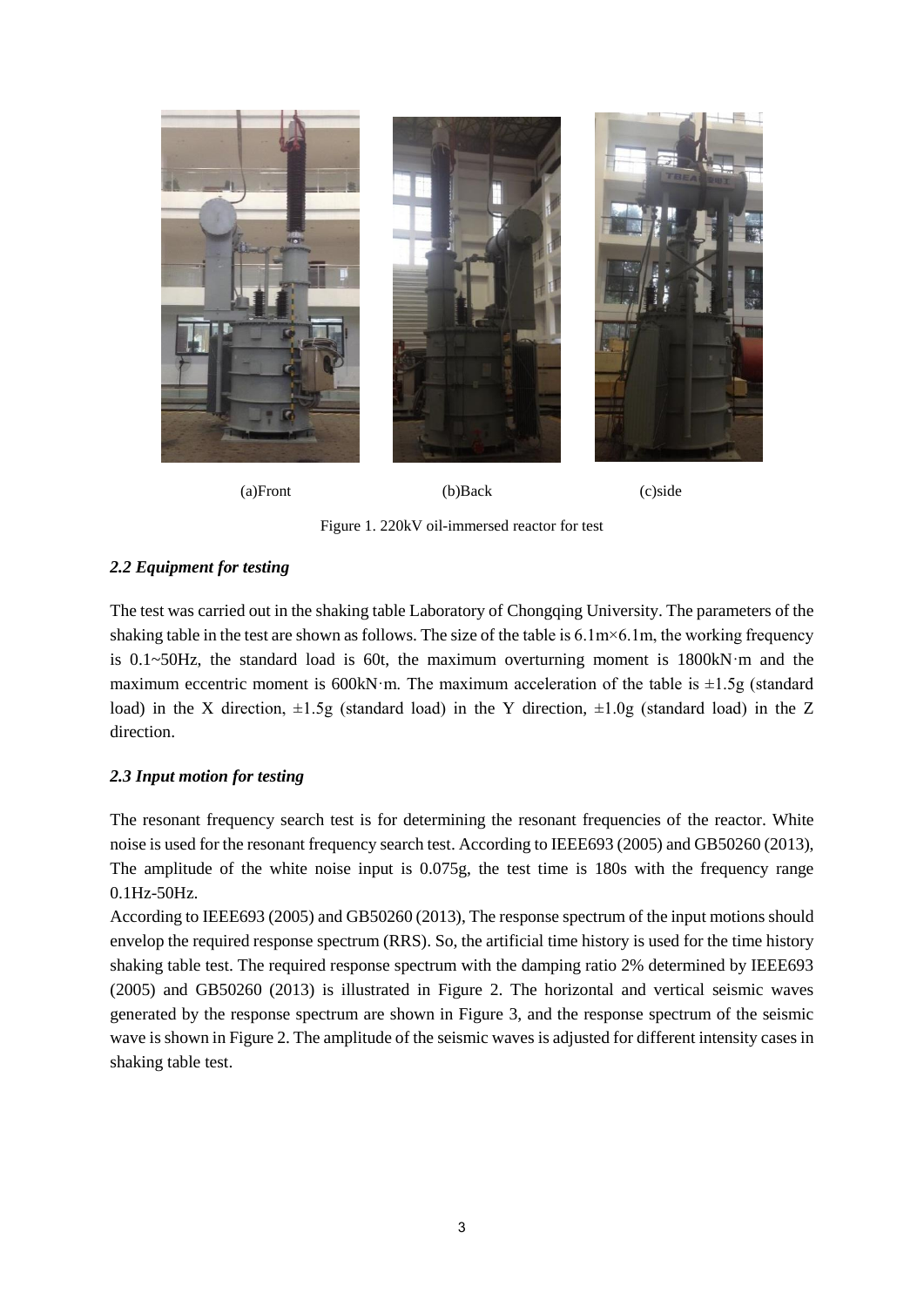

(a)Front (b)Back (c)side

Figure 1. 220kV oil-immersed reactor for test

# *2.2 Equipment for testing*

The test was carried out in the shaking table Laboratory of Chongqing University. The parameters of the shaking table in the test are shown as follows. The size of the table is 6.1m×6.1m, the working frequency is 0.1~50Hz, the standard load is 60t, the maximum overturning moment is 1800kN·m and the maximum eccentric moment is 600kN·m. The maximum acceleration of the table is  $\pm 1.5$ g (standard load) in the X direction,  $\pm 1.5g$  (standard load) in the Y direction,  $\pm 1.0g$  (standard load) in the Z direction.

## *2.3 Input motion for testing*

The resonant frequency search test is for determining the resonant frequencies of the reactor. White noise is used for the resonant frequency search test. According to IEEE693 (2005) and GB50260 (2013), The amplitude of the white noise input is 0.075g, the test time is 180s with the frequency range 0.1Hz-50Hz.

According to IEEE693 (2005) and GB50260 (2013), The response spectrum of the input motions should envelop the required response spectrum (RRS). So, the artificial time history is used for the time history shaking table test. The required response spectrum with the damping ratio 2% determined by IEEE693 (2005) and GB50260 (2013) is illustrated in Figure 2. The horizontal and vertical seismic waves generated by the response spectrum are shown in Figure 3, and the response spectrum of the seismic wave is shown in Figure 2. The amplitude of the seismic waves is adjusted for different intensity cases in shaking table test.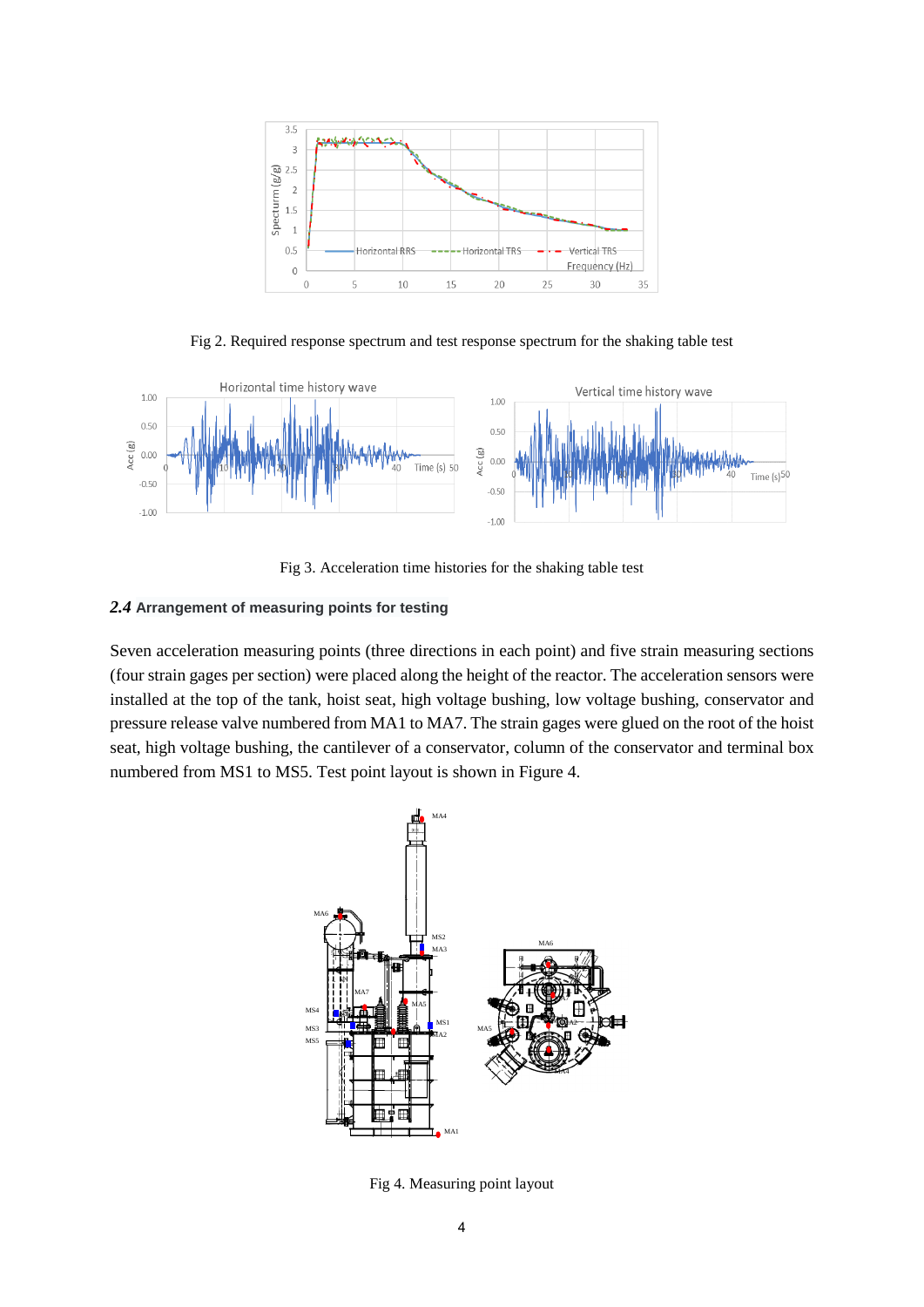

Fig 2. Required response spectrum and test response spectrum for the shaking table test



Fig 3. Acceleration time histories for the shaking table test

## *2.4* **Arrangement of measuring points for testing**

Seven acceleration measuring points (three directions in each point) and five strain measuring sections (four strain gages per section) were placed along the height of the reactor. The acceleration sensors were installed at the top of the tank, hoist seat, high voltage bushing, low voltage bushing, conservator and pressure release valve numbered from MA1 to MA7. The strain gages were glued on the root of the hoist seat, high voltage bushing, the cantilever of a conservator, column of the conservator and terminal box numbered from MS1 to MS5. Test point layout is shown in Figure 4.



Fig 4. Measuring point layout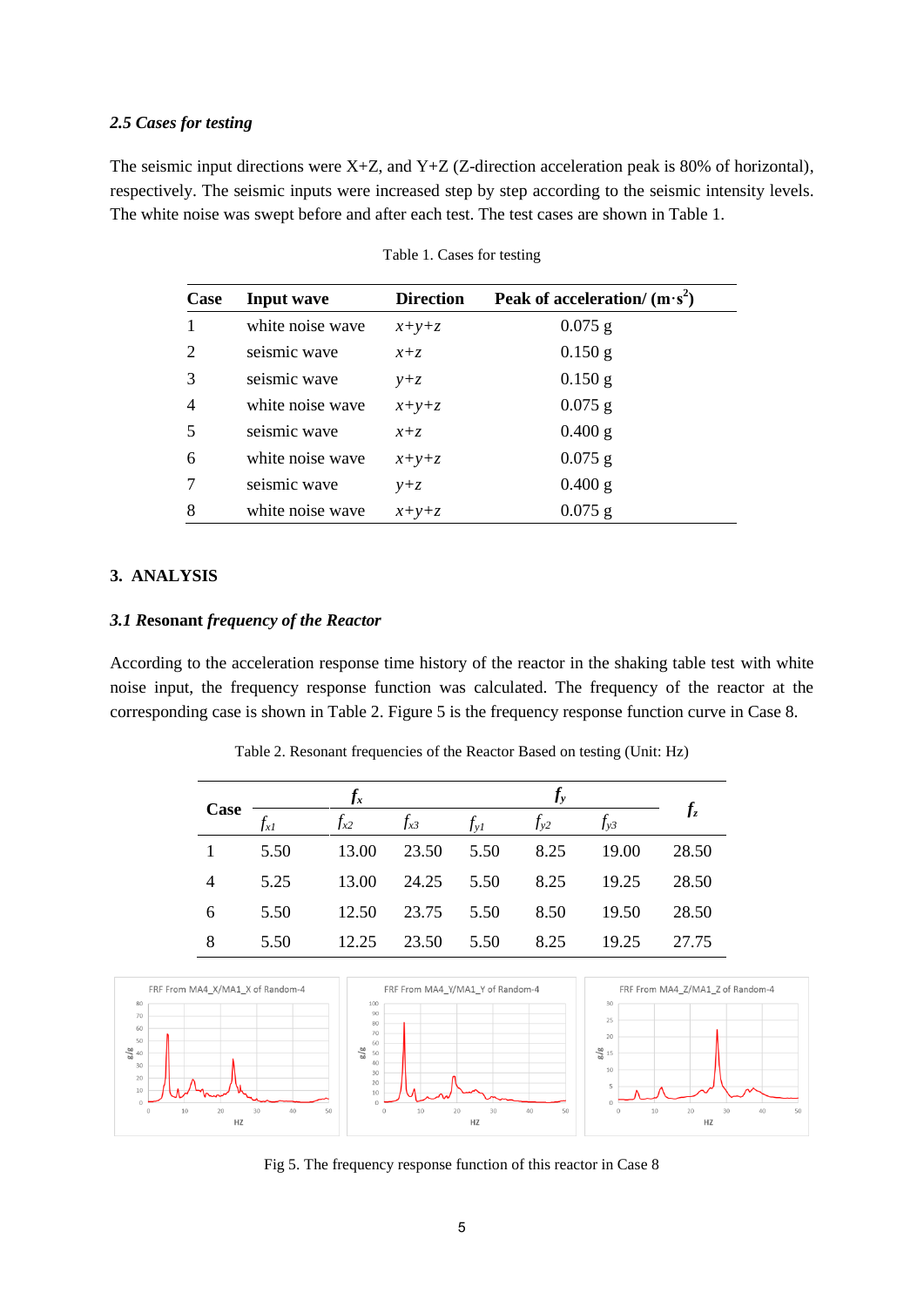#### *2.5 Cases for testing*

The seismic input directions were  $X+Z$ , and  $Y+Z$  (Z-direction acceleration peak is 80% of horizontal), respectively. The seismic inputs were increased step by step according to the seismic intensity levels. The white noise was swept before and after each test. The test cases are shown in Table 1.

| Case                        | <b>Input wave</b> | <b>Direction</b> | Peak of acceleration/ $(m \cdot s^2)$ |
|-----------------------------|-------------------|------------------|---------------------------------------|
|                             | white noise wave  | $x+y+z$          | $0.075$ g                             |
| $\mathcal{D}_{\mathcal{L}}$ | seismic wave      | $x + z$          | $0.150$ g                             |
| 3                           | seismic wave      | $y+z$            | $0.150$ g                             |
| $\overline{4}$              | white noise wave  | $x+y+z$          | $0.075$ g                             |
| 5                           | seismic wave      | $x + z$          | $0.400$ g                             |
| 6                           | white noise wave  | $x+y+z$          | $0.075$ g                             |
|                             | seismic wave      | $y+z$            | $0.400$ g                             |
| 8                           | white noise wave  | $x+y+z$          | $0.075$ g                             |

Table 1. Cases for testing

## **3. ANALYSIS**

## *3.1 R***esonant** *frequency of the Reactor*

According to the acceleration response time history of the reactor in the shaking table test with white noise input, the frequency response function was calculated. The frequency of the reactor at the corresponding case is shown in Table 2. Figure 5 is the frequency response function curve in Case 8.

| Case | $J_{x}$ |          |          |             |          |          |       |
|------|---------|----------|----------|-------------|----------|----------|-------|
|      | Jx1     | $f_{x2}$ | $f_{x3}$ | $f_{\nu I}$ | $f_{y2}$ | $f_{y3}$ |       |
|      | 5.50    | 13.00    | 23.50    | 5.50        | 8.25     | 19.00    | 28.50 |
|      | 5.25    | 13.00    | 24.25    | 5.50        | 8.25     | 19.25    | 28.50 |
| 6    | 5.50    | 12.50    | 23.75    | 5.50        | 8.50     | 19.50    | 28.50 |
|      | 5.50    | 12.25    | 23.50    | 5.50        | 8.25     | 19.25    | 27.75 |

Table 2. Resonant frequencies of the Reactor Based on testing (Unit: Hz)



Fig 5. The frequency response function of this reactor in Case 8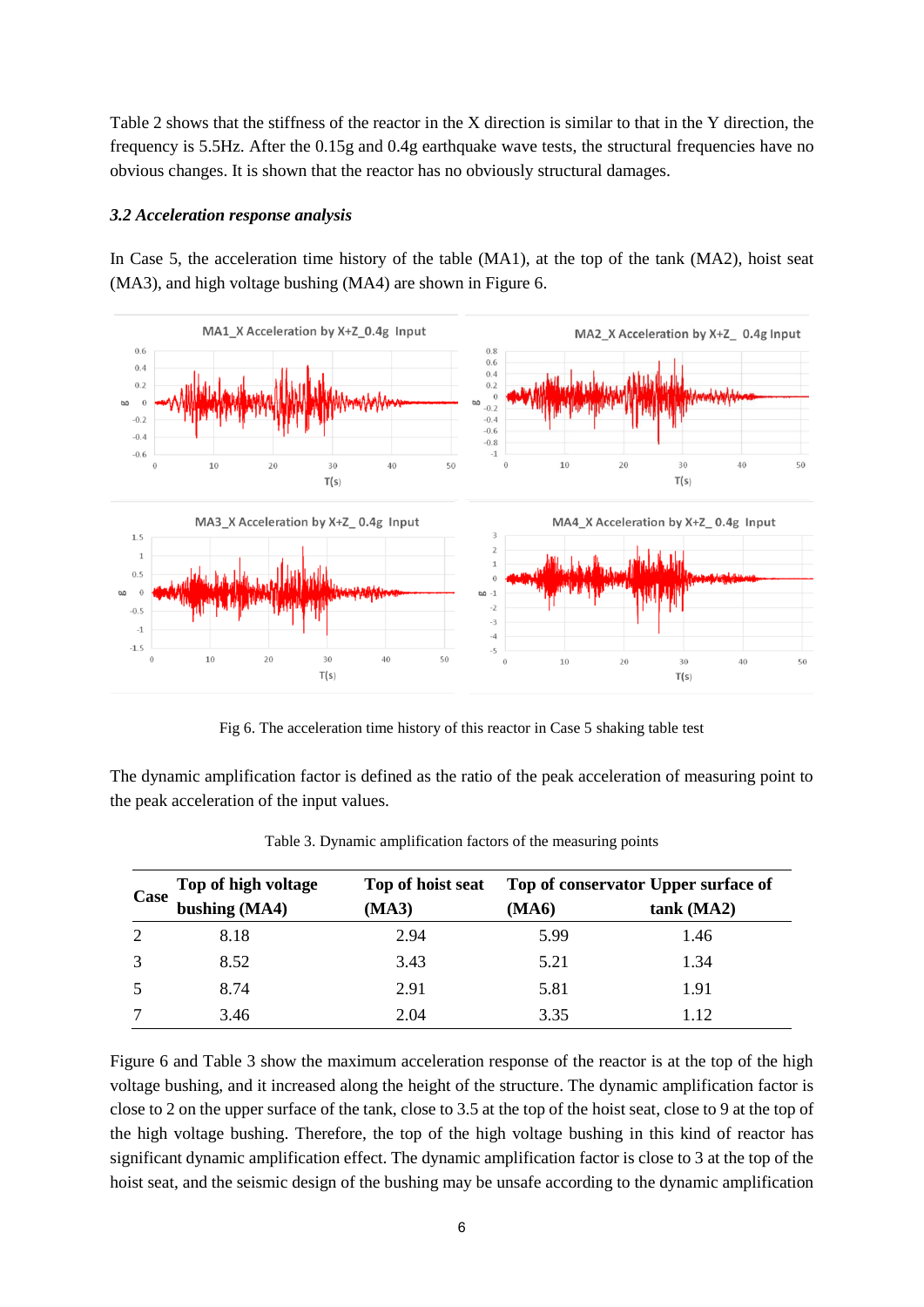Table 2 shows that the stiffness of the reactor in the X direction is similar to that in the Y direction, the frequency is 5.5Hz. After the 0.15g and 0.4g earthquake wave tests, the structural frequencies have no obvious changes. It is shown that the reactor has no obviously structural damages.

### *3.2 Acceleration response analysis*

In Case 5, the acceleration time history of the table (MA1), at the top of the tank (MA2), hoist seat (MA3), and high voltage bushing (MA4) are shown in Figure 6.



Fig 6. The acceleration time history of this reactor in Case 5 shaking table test

The dynamic amplification factor is defined as the ratio of the peak acceleration of measuring point to the peak acceleration of the input values.

| Case | Top of high voltage | Top of hoist seat | Top of conservator Upper surface of |            |  |
|------|---------------------|-------------------|-------------------------------------|------------|--|
|      | bushing (MA4)       | (MA3)             | (MA6)                               | tank (MA2) |  |
| 2    | 8.18                | 2.94              | 5.99                                | 1.46       |  |
| 3    | 8.52                | 3.43              | 5.21                                | 1.34       |  |
| 5    | 8.74                | 2.91              | 5.81                                | 1.91       |  |
|      | 3.46                | 2.04              | 3.35                                | 112        |  |

Table 3. Dynamic amplification factors of the measuring points

Figure 6 and Table 3 show the maximum acceleration response of the reactor is at the top of the high voltage bushing, and it increased along the height of the structure. The dynamic amplification factor is close to 2 on the upper surface of the tank, close to 3.5 at the top of the hoist seat, close to 9 at the top of the high voltage bushing. Therefore, the top of the high voltage bushing in this kind of reactor has significant dynamic amplification effect. The dynamic amplification factor is close to 3 at the top of the hoist seat, and the seismic design of the bushing may be unsafe according to the dynamic amplification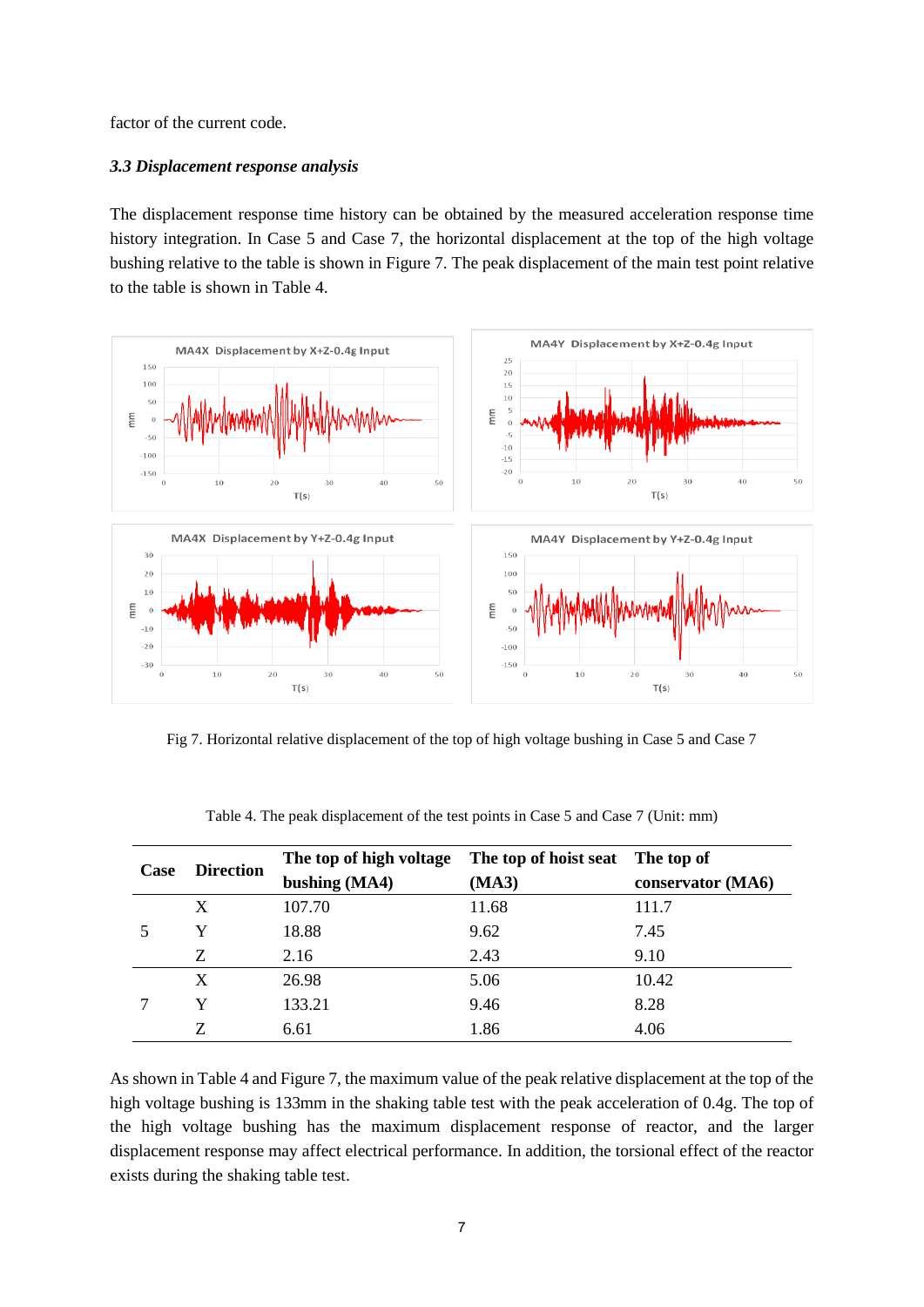factor of the current code.

## *3.3 Displacement response analysis*

The displacement response time history can be obtained by the measured acceleration response time history integration. In Case 5 and Case 7, the horizontal displacement at the top of the high voltage bushing relative to the table is shown in Figure 7. The peak displacement of the main test point relative to the table is shown in Table 4.



Fig 7. Horizontal relative displacement of the top of high voltage bushing in Case 5 and Case 7

| Case | <b>Direction</b> | The top of high voltage The top of hoist seat The top of |       |                   |  |
|------|------------------|----------------------------------------------------------|-------|-------------------|--|
|      |                  | bushing (MA4)                                            | (MA3) | conservator (MA6) |  |
|      | X                | 107.70                                                   | 11.68 | 111.7             |  |
|      | Y                | 18.88                                                    | 9.62  | 7.45              |  |
|      | Ζ                | 2.16                                                     | 2.43  | 9.10              |  |
|      | X                | 26.98                                                    | 5.06  | 10.42             |  |
|      | v                | 133.21                                                   | 9.46  | 8.28              |  |
|      | Z                | 6.61                                                     | 1.86  | 4.06              |  |

Table 4. The peak displacement of the test points in Case 5 and Case 7 (Unit: mm)

As shown in Table 4 and Figure 7, the maximum value of the peak relative displacement at the top of the high voltage bushing is 133mm in the shaking table test with the peak acceleration of 0.4g. The top of the high voltage bushing has the maximum displacement response of reactor, and the larger displacement response may affect electrical performance. In addition, the torsional effect of the reactor exists during the shaking table test.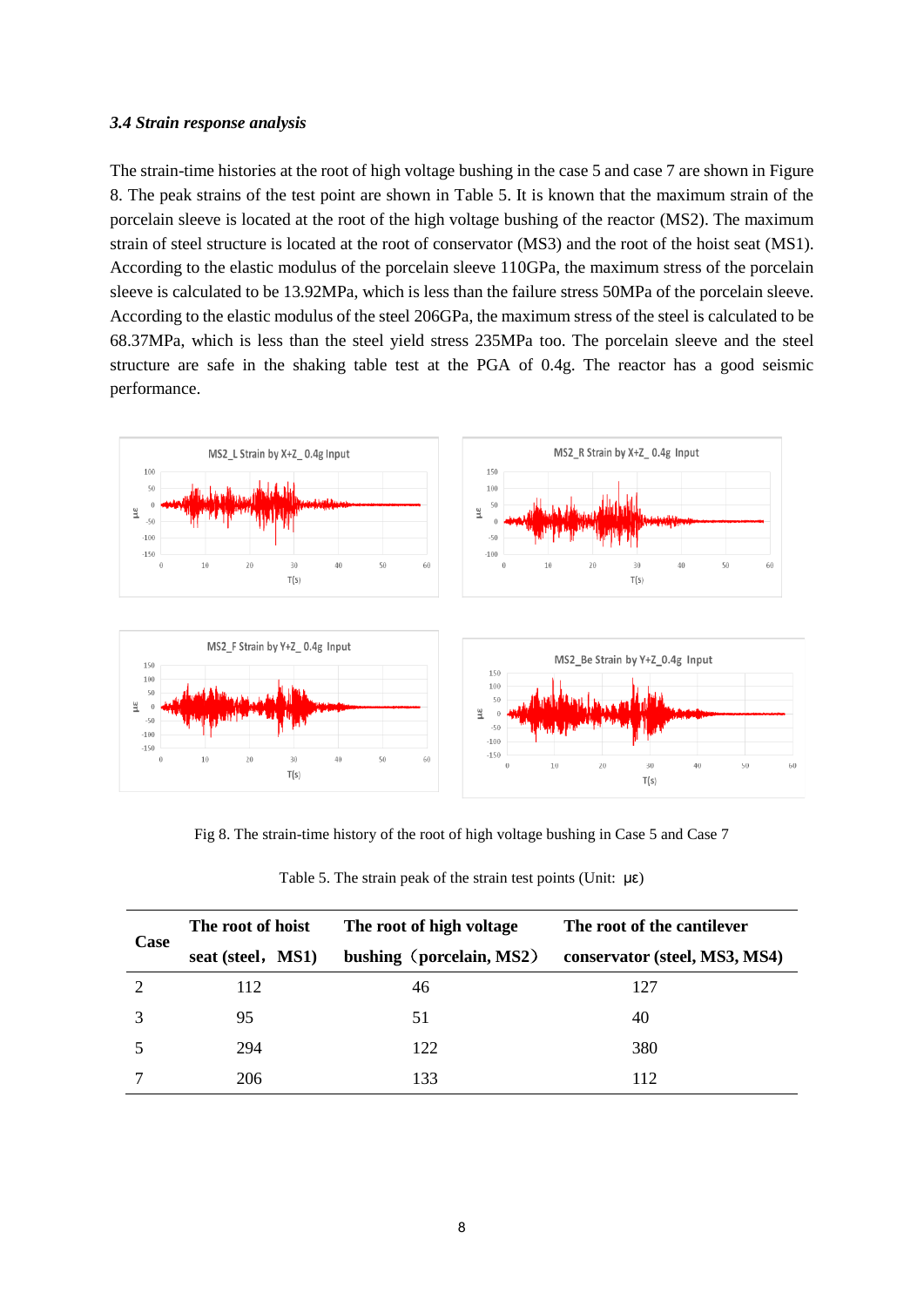#### *3.4 Strain response analysis*

The strain-time histories at the root of high voltage bushing in the case 5 and case 7 are shown in Figure 8. The peak strains of the test point are shown in Table 5. It is known that the maximum strain of the porcelain sleeve is located at the root of the high voltage bushing of the reactor (MS2). The maximum strain of steel structure is located at the root of conservator (MS3) and the root of the hoist seat (MS1). According to the elastic modulus of the porcelain sleeve 110GPa, the maximum stress of the porcelain sleeve is calculated to be 13.92MPa, which is less than the failure stress 50MPa of the porcelain sleeve. According to the elastic modulus of the steel 206GPa, the maximum stress of the steel is calculated to be 68.37MPa, which is less than the steel yield stress 235MPa too. The porcelain sleeve and the steel structure are safe in the shaking table test at the PGA of 0.4g. The reactor has a good seismic performance.



Fig 8. The strain-time history of the root of high voltage bushing in Case 5 and Case 7

| Case | The root of hoist | The root of high voltage | The root of the cantilever    |  |
|------|-------------------|--------------------------|-------------------------------|--|
|      | seat (steel, MS1) | bushing (porcelain, MS2) | conservator (steel, MS3, MS4) |  |
| ി    | 112               | 46                       | 127                           |  |
|      | 95                | 51                       | 40                            |  |
|      | 294               | 122                      | 380                           |  |
|      | 206               | 133                      | 112                           |  |

|  |  |  |  | Table 5. The strain peak of the strain test points (Unit: $\mu \epsilon$ ) |  |  |
|--|--|--|--|----------------------------------------------------------------------------|--|--|
|--|--|--|--|----------------------------------------------------------------------------|--|--|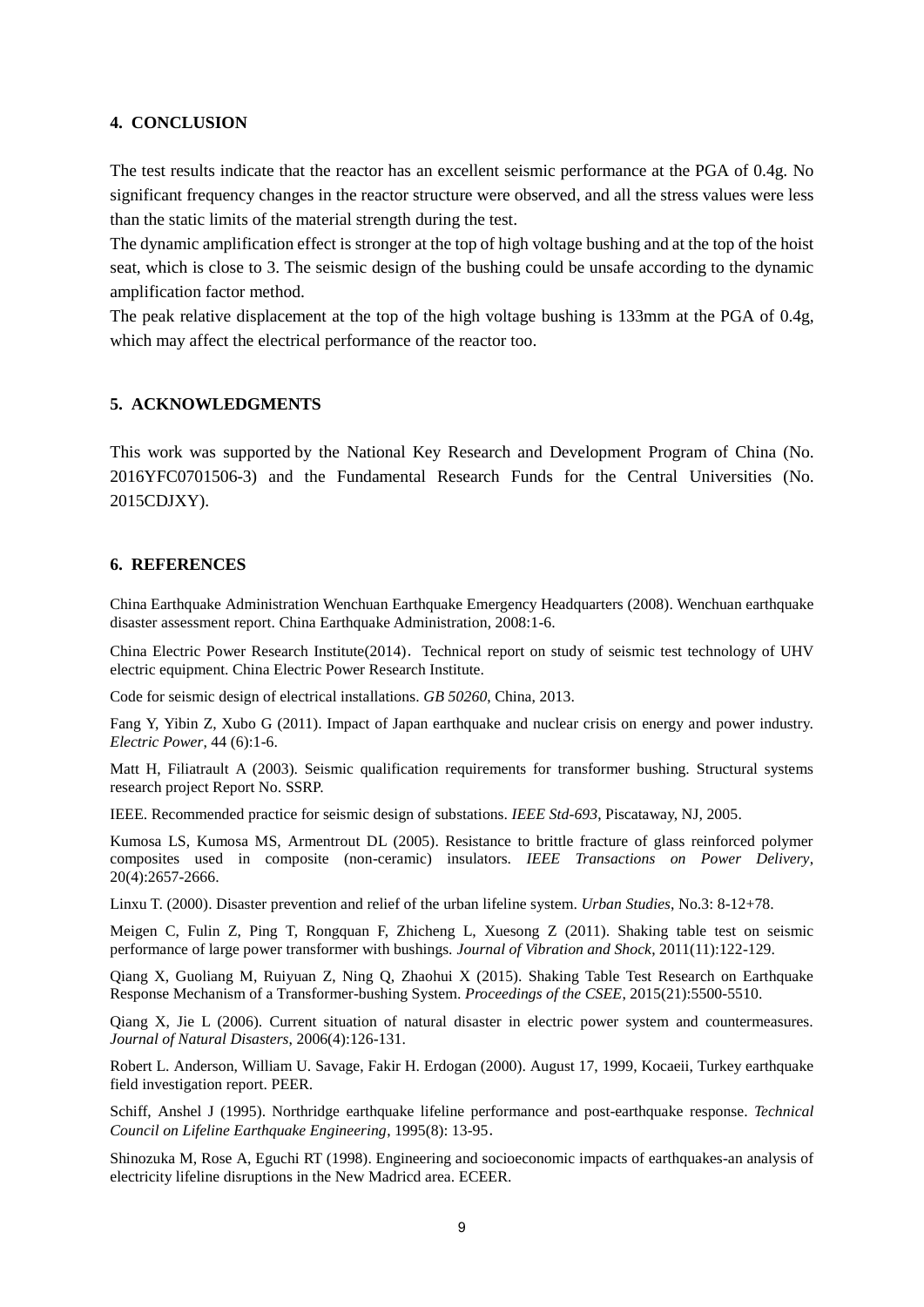## **4. CONCLUSION**

The test results indicate that the reactor has an excellent seismic performance at the PGA of 0.4g. No significant frequency changes in the reactor structure were observed, and all the stress values were less than the static limits of the material strength during the test.

The dynamic amplification effect is stronger at the top of high voltage bushing and at the top of the hoist seat, which is close to 3. The seismic design of the bushing could be unsafe according to the dynamic amplification factor method.

The peak relative displacement at the top of the high voltage bushing is 133mm at the PGA of 0.4g, which may affect the electrical performance of the reactor too.

## **5. ACKNOWLEDGMENTS**

This work was supported by the National Key Research and Development Program of China (No. 2016YFC0701506-3) and the Fundamental Research Funds for the Central Universities (No. 2015CDJXY).

#### **6. REFERENCES**

China Earthquake Administration Wenchuan Earthquake Emergency Headquarters (2008). Wenchuan earthquake disaster assessment report. China Earthquake Administration, 2008:1-6.

China Electric Power Research Institute(2014). Technical report on study of seismic test technology of UHV electric equipment. China Electric Power Research Institute.

Code for seismic design of electrical installations. *GB 50260*, China, 2013.

Fang Y, Yibin Z, Xubo G (2011). Impact of Japan earthquake and nuclear crisis on energy and power industry. *Electric Power*, 44 (6):1-6.

Matt H, Filiatrault A (2003). Seismic qualification requirements for transformer bushing. Structural systems research project Report No. SSRP.

IEEE. Recommended practice for seismic design of substations. *IEEE Std-693*, Piscataway, NJ, 2005.

Kumosa LS, Kumosa MS, Armentrout DL (2005). Resistance to brittle fracture of glass reinforced polymer composites used in composite (non-ceramic) insulators. *IEEE Transactions on Power Delivery*, 20(4):2657-2666.

Linxu T. (2000). Disaster prevention and relief of the urban lifeline system. *Urban Studies*, No.3: 8-12+78.

Meigen C, Fulin Z, Ping T, Rongquan F, Zhicheng L, Xuesong Z (2011). Shaking table test on seismic performance of large power transformer with bushings. *Journal of Vibration and Shock*, 2011(11):122-129.

Qiang X, Guoliang M, Ruiyuan Z, Ning Q, Zhaohui X (2015). Shaking Table Test Research on Earthquake Response Mechanism of a Transformer-bushing System. *Proceedings of the CSEE*, 2015(21):5500-5510.

Qiang X, Jie L (2006). Current situation of natural disaster in electric power system and countermeasures. *Journal of Natural Disasters*, 2006(4):126-131.

Robert L. Anderson, William U. Savage, Fakir H. Erdogan (2000). August 17, 1999, Kocaeii, Turkey earthquake field investigation report. PEER.

Schiff, Anshel J (1995). Northridge earthquake lifeline performance and post-earthquake response. *Technical Council on Lifeline Earthquake Engineering*, 1995(8): 13-95.

Shinozuka M, Rose A, Eguchi RT (1998). Engineering and socioeconomic impacts of earthquakes-an analysis of electricity lifeline disruptions in the New Madricd area. ECEER.